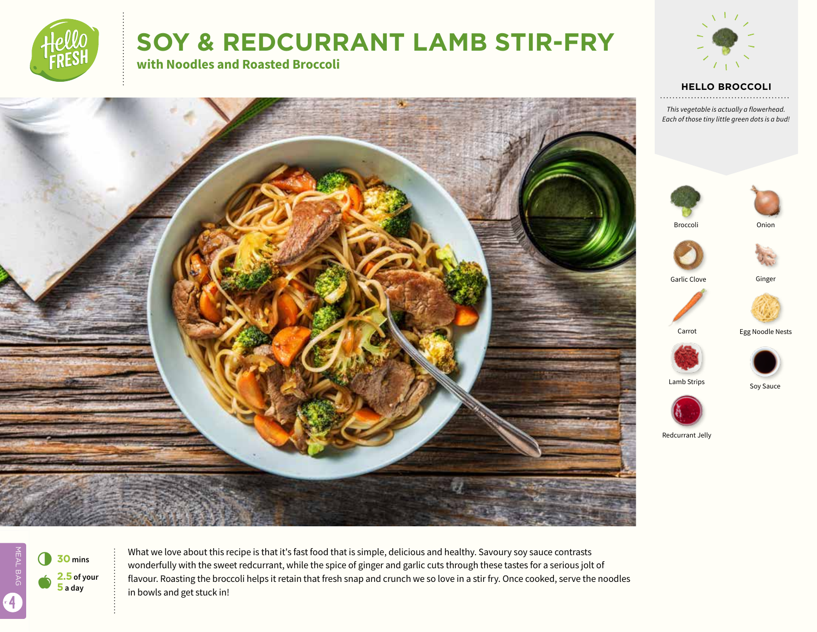

# **SOY & REDCURRANT LAMB STIR-FRY**

**with Noodles and Roasted Broccoli**



#### **HELLO BROCCOLI**

*This vegetable is actually a flowerhead. Each of those tiny little green dots is a bud!*





Redcurrant Jelly

Lamb Strips

Broccoli



6 **<sup>30</sup> mins 2.5 of your 5 a day**

What we love about this recipe is that it's fast food that is simple, delicious and healthy. Savoury soy sauce contrasts wonderfully with the sweet redcurrant, while the spice of ginger and garlic cuts through these tastes for a serious jolt of flavour. Roasting the broccoli helps it retain that fresh snap and crunch we so love in a stir fry. Once cooked, serve the noodles in bowls and get stuck in!